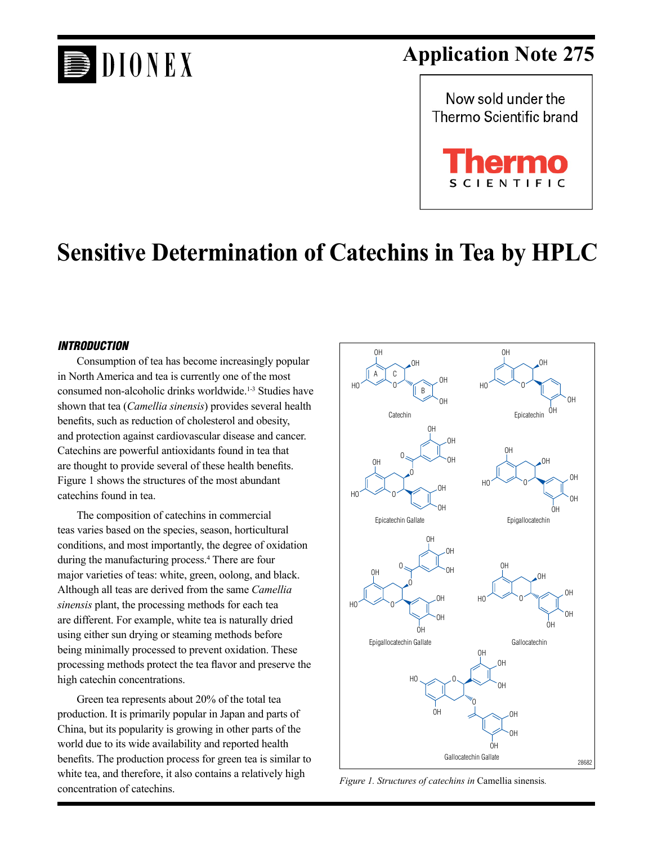# **DIONEX**

## **Application Note 275**



## **Sensitive Determination of Catechins in Tea by HPLC**

#### *INTRODUCTION*

Consumption of tea has become increasingly popular in North America and tea is currently one of the most consumed non-alcoholic drinks worldwide.<sup>1-3</sup> Studies have shown that tea (*Camellia sinensis*) provides several health benefits, such as reduction of cholesterol and obesity, and protection against cardiovascular disease and cancer. Catechins are powerful antioxidants found in tea that are thought to provide several of these health benefits. Figure 1 shows the structures of the most abundant catechins found in tea.

The composition of catechins in commercial teas varies based on the species, season, horticultural conditions, and most importantly, the degree of oxidation during the manufacturing process.<sup>4</sup> There are four major varieties of teas: white, green, oolong, and black. Although all teas are derived from the same *Camellia sinensis* plant, the processing methods for each tea are different. For example, white tea is naturally dried using either sun drying or steaming methods before being minimally processed to prevent oxidation. These processing methods protect the tea flavor and preserve the high catechin concentrations.

Green tea represents about 20% of the total tea production. It is primarily popular in Japan and parts of China, but its popularity is growing in other parts of the world due to its wide availability and reported health benefits. The production process for green tea is similar to white tea, and therefore, it also contains a relatively high concentration of catechins.



*Figure 1. Structures of catechins in* Camellia sinensis*.*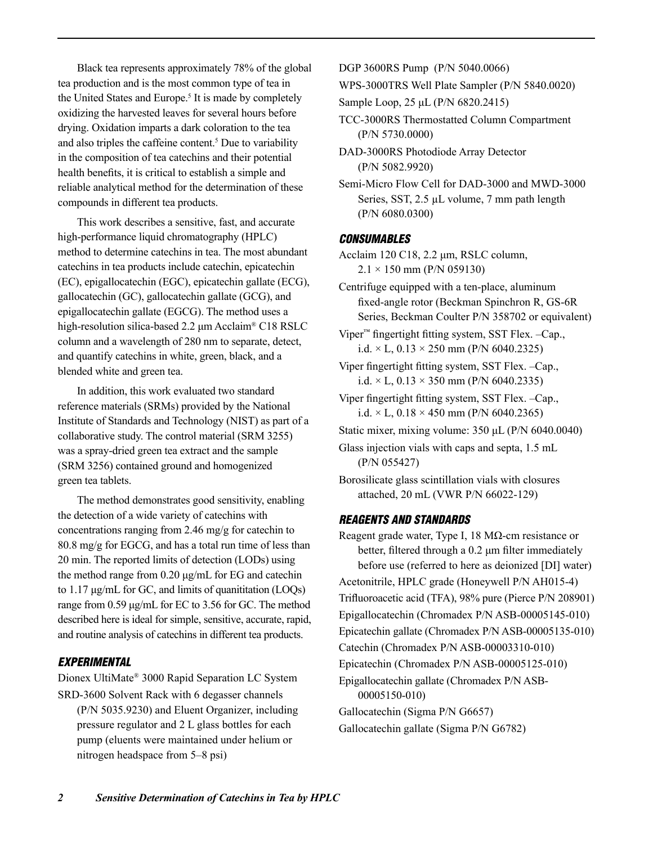Black tea represents approximately 78% of the global tea production and is the most common type of tea in the United States and Europe.<sup>5</sup> It is made by completely oxidizing the harvested leaves for several hours before drying. Oxidation imparts a dark coloration to the tea and also triples the caffeine content.5 Due to variability in the composition of tea catechins and their potential health benefits, it is critical to establish a simple and reliable analytical method for the determination of these compounds in different tea products.

This work describes a sensitive, fast, and accurate high-performance liquid chromatography (HPLC) method to determine catechins in tea. The most abundant catechins in tea products include catechin, epicatechin (EC), epigallocatechin (EGC), epicatechin gallate (ECG), gallocatechin (GC), gallocatechin gallate (GCG), and epigallocatechin gallate (EGCG). The method uses a high-resolution silica-based 2.2 μm Acclaim® C18 RSLC column and a wavelength of 280 nm to separate, detect, and quantify catechins in white, green, black, and a blended white and green tea.

In addition, this work evaluated two standard reference materials (SRMs) provided by the National Institute of Standards and Technology (NIST) as part of a collaborative study. The control material (SRM 3255) was a spray-dried green tea extract and the sample (SRM 3256) contained ground and homogenized green tea tablets.

The method demonstrates good sensitivity, enabling the detection of a wide variety of catechins with concentrations ranging from 2.46 mg/g for catechin to 80.8 mg/g for EGCG, and has a total run time of less than 20 min. The reported limits of detection (LODs) using the method range from 0.20 μg/mL for EG and catechin to 1.17 μg/mL for GC, and limits of quanititation (LOQs) range from 0.59 μg/mL for EC to 3.56 for GC. The method described here is ideal for simple, sensitive, accurate, rapid, and routine analysis of catechins in different tea products.

### *experimental*

Dionex UltiMate® 3000 Rapid Separation LC System SRD-3600 Solvent Rack with 6 degasser channels

(P/N 5035.9230) and Eluent Organizer, including pressure regulator and 2 L glass bottles for each pump (eluents were maintained under helium or nitrogen headspace from 5–8 psi)

DGP 3600RS Pump (P/N 5040.0066)

WPS-3000TRS Well Plate Sampler (P/N 5840.0020)

Sample Loop, 25 μL (P/N 6820.2415)

- TCC-3000RS Thermostatted Column Compartment (P/N 5730.0000)
- DAD-3000RS Photodiode Array Detector (P/N 5082.9920)

Semi-Micro Flow Cell for DAD-3000 and MWD-3000 Series, SST, 2.5 µL volume, 7 mm path length (P/N 6080.0300)

#### *CONSUMABLES*

Acclaim 120 C18, 2.2 μm, RSLC column,  $2.1 \times 150$  mm (P/N 059130)

Centrifuge equipped with a ten-place, aluminum fixed-angle rotor (Beckman Spinchron R, GS-6R Series, Beckman Coulter P/N 358702 or equivalent)

- Viper™ fingertight fitting system, SST Flex. –Cap., i.d.  $\times$  L, 0.13  $\times$  250 mm (P/N 6040.2325)
- Viper fingertight fitting system, SST Flex. –Cap., i.d.  $\times$  L, 0.13  $\times$  350 mm (P/N 6040.2335)
- Viper fingertight fitting system, SST Flex. –Cap., i.d.  $\times$  L, 0.18  $\times$  450 mm (P/N 6040.2365)
- Static mixer, mixing volume: 350 μL (P/N 6040.0040)
- Glass injection vials with caps and septa, 1.5 mL (P/N 055427)
- Borosilicate glass scintillation vials with closures attached, 20 mL (VWR P/N 66022-129)

#### *REAGENTS AND STANDARDS*

Reagent grade water, Type I, 18 MΩ-cm resistance or better, filtered through a 0.2 μm filter immediately before use (referred to here as deionized [DI] water) Acetonitrile, HPLC grade (Honeywell P/N AH015-4) Trifluoroacetic acid (TFA), 98% pure (Pierce P/N 208901) Epigallocatechin (Chromadex P/N ASB-00005145-010) Epicatechin gallate (Chromadex P/N ASB-00005135-010) Catechin (Chromadex P/N ASB-00003310-010) Epicatechin (Chromadex P/N ASB-00005125-010) Epigallocatechin gallate (Chromadex P/N ASB-00005150-010) Gallocatechin (Sigma P/N G6657) Gallocatechin gallate (Sigma P/N G6782)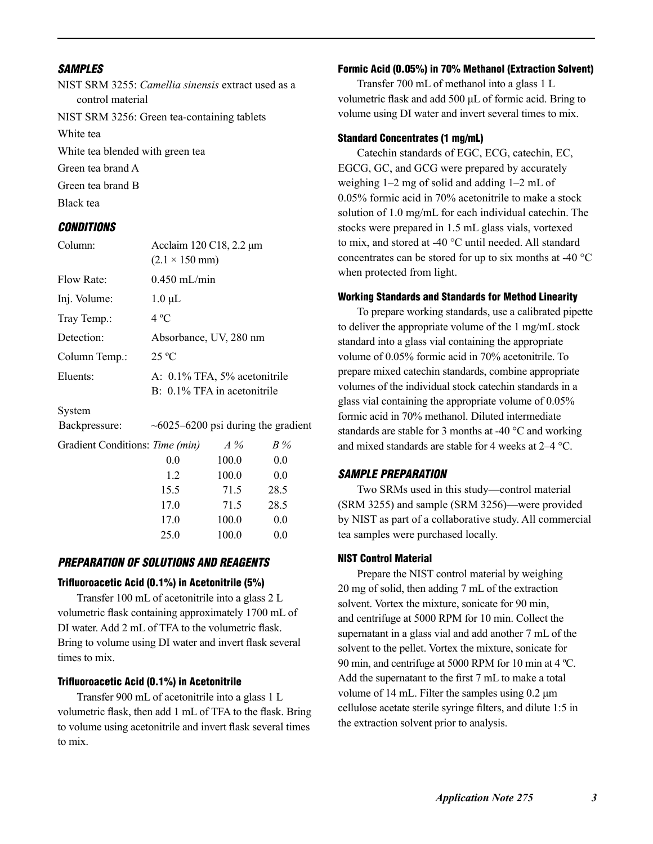#### *SAMPLES*

NIST SRM 3255: *Camellia sinensis* extract used as a control material NIST SRM 3256: Green tea-containing tablets White tea White tea blended with green tea Green tea brand A Green tea brand B Black tea *CONDITIONS*

| Column:                                  | Acclaim 120 C18, 2.2 μm<br>$(2.1 \times 150 \text{ mm})$       |       |      |  |  |
|------------------------------------------|----------------------------------------------------------------|-------|------|--|--|
| Flow Rate:                               | $0.450$ mL/min                                                 |       |      |  |  |
| Inj. Volume:                             | $1.0 \mu L$                                                    |       |      |  |  |
| Tray Temp.:                              | $4^{\circ}C$                                                   |       |      |  |  |
| Detection:                               | Absorbance, UV, 280 nm                                         |       |      |  |  |
| Column Temp.:                            | 25 °C                                                          |       |      |  |  |
| Eluents:                                 | A: 0.1% TFA, 5% acetonitrile<br>$B: 0.1\%$ TFA in acetonitrile |       |      |  |  |
| System                                   |                                                                |       |      |  |  |
| Backpressure:                            | $\sim 6025 - 6200$ psi during the gradient                     |       |      |  |  |
| Gradient Conditions: Time (min)<br>$A\%$ |                                                                |       | B%   |  |  |
|                                          | 0.0                                                            | 100.0 | 0.0  |  |  |
|                                          | 1.2                                                            | 100.0 | 0.0  |  |  |
|                                          | 15.5                                                           | 71.5  | 28.5 |  |  |
|                                          | 17.0                                                           | 71.5  | 28.5 |  |  |
|                                          | 17.0                                                           | 100.0 | 0.0  |  |  |
|                                          | 25.0                                                           | 100.0 | 0.0  |  |  |

### *PREPARATION OF SOLUTIONS AND REAGENTS*

#### Trifluoroacetic Acid (0.1%) in Acetonitrile (5%)

Transfer 100 mL of acetonitrile into a glass 2 L volumetric flask containing approximately 1700 mL of DI water. Add 2 mL of TFA to the volumetric flask. Bring to volume using DI water and invert flask several times to mix.

#### Trifluoroacetic Acid (0.1%) in Acetonitrile

Transfer 900 mL of acetonitrile into a glass 1 L volumetric flask, then add 1 mL of TFA to the flask. Bring to volume using acetonitrile and invert flask several times to mix.

#### Formic Acid (0.05%) in 70% Methanol (Extraction Solvent)

Transfer 700 mL of methanol into a glass 1 L volumetric flask and add 500 μL of formic acid. Bring to volume using DI water and invert several times to mix.

#### Standard Concentrates (1 mg/mL)

Catechin standards of EGC, ECG, catechin, EC, EGCG, GC, and GCG were prepared by accurately weighing 1–2 mg of solid and adding 1–2 mL of 0.05% formic acid in 70% acetonitrile to make a stock solution of 1.0 mg/mL for each individual catechin. The stocks were prepared in 1.5 mL glass vials, vortexed to mix, and stored at -40 °C until needed. All standard concentrates can be stored for up to six months at -40 °C when protected from light.

#### Working Standards and Standards for Method Linearity

To prepare working standards, use a calibrated pipette to deliver the appropriate volume of the 1 mg/mL stock standard into a glass vial containing the appropriate volume of 0.05% formic acid in 70% acetonitrile. To prepare mixed catechin standards, combine appropriate volumes of the individual stock catechin standards in a glass vial containing the appropriate volume of 0.05% formic acid in 70% methanol. Diluted intermediate standards are stable for 3 months at -40 °C and working and mixed standards are stable for 4 weeks at 2–4 °C.

#### *SAMPLE PREPARATION*

Two SRMs used in this study—control material (SRM 3255) and sample (SRM 3256)—were provided by NIST as part of a collaborative study. All commercial tea samples were purchased locally.

#### NIST Control Material

Prepare the NIST control material by weighing 20 mg of solid, then adding 7 mL of the extraction solvent. Vortex the mixture, sonicate for 90 min, and centrifuge at 5000 RPM for 10 min. Collect the supernatant in a glass vial and add another 7 mL of the solvent to the pellet. Vortex the mixture, sonicate for 90 min, and centrifuge at 5000 RPM for 10 min at 4 ºC. Add the supernatant to the first 7 mL to make a total volume of 14 mL. Filter the samples using  $0.2 \mu$ m cellulose acetate sterile syringe filters, and dilute 1:5 in the extraction solvent prior to analysis.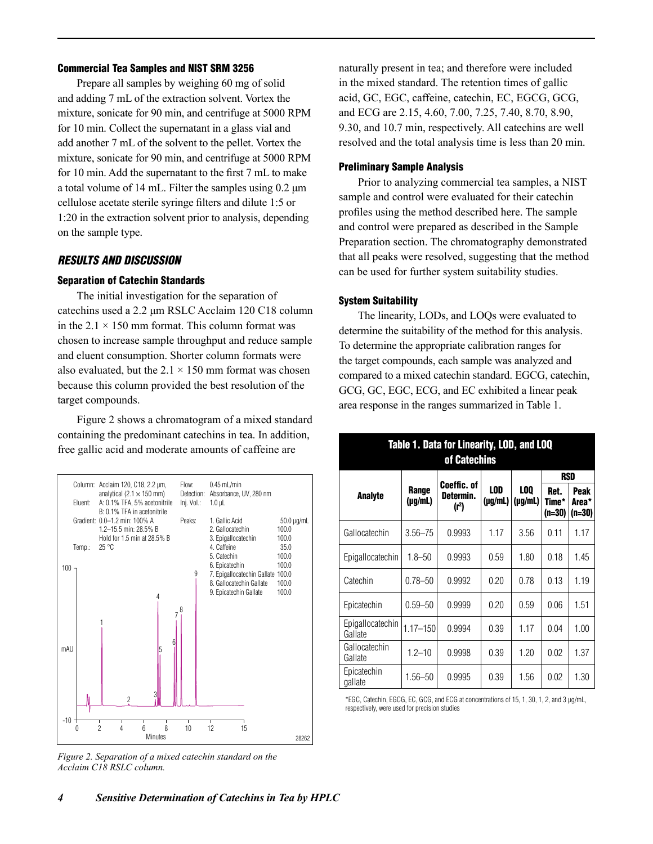#### Commercial Tea Samples and NIST SRM 3256

Prepare all samples by weighing 60 mg of solid and adding 7 mL of the extraction solvent. Vortex the mixture, sonicate for 90 min, and centrifuge at 5000 RPM for 10 min. Collect the supernatant in a glass vial and add another 7 mL of the solvent to the pellet. Vortex the mixture, sonicate for 90 min, and centrifuge at 5000 RPM for 10 min. Add the supernatant to the first 7 mL to make a total volume of 14 mL. Filter the samples using 0.2 μm cellulose acetate sterile syringe filters and dilute 1:5 or 1:20 in the extraction solvent prior to analysis, depending on the sample type.

#### *RESULTS AND DISCUSSION*

#### Separation of Catechin Standards

The initial investigation for the separation of catechins used a 2.2 μm RSLC Acclaim 120 C18 column in the  $2.1 \times 150$  mm format. This column format was chosen to increase sample throughput and reduce sample and eluent consumption. Shorter column formats were also evaluated, but the  $2.1 \times 150$  mm format was chosen because this column provided the best resolution of the target compounds.

Figure 2 shows a chromatogram of a mixed standard containing the predominant catechins in tea. In addition, free gallic acid and moderate amounts of caffeine are



*Figure 2. Separation of a mixed catechin standard on the Acclaim C18 RSLC column.*

naturally present in tea; and therefore were included in the mixed standard. The retention times of gallic acid, GC, EGC, caffeine, catechin, EC, EGCG, GCG, and ECG are 2.15, 4.60, 7.00, 7.25, 7.40, 8.70, 8.90, 9.30, and 10.7 min, respectively. All catechins are well resolved and the total analysis time is less than 20 min.

#### Preliminary Sample Analysis

Prior to analyzing commercial tea samples, a NIST sample and control were evaluated for their catechin profiles using the method described here. The sample and control were prepared as described in the Sample Preparation section. The chromatography demonstrated that all peaks were resolved, suggesting that the method can be used for further system suitability studies.

#### System Suitability

The linearity, LODs, and LOQs were evaluated to determine the suitability of the method for this analysis. To determine the appropriate calibration ranges for the target compounds, each sample was analyzed and compared to a mixed catechin standard. EGCG, catechin, GCG, GC, EGC, ECG, and EC exhibited a linear peak area response in the ranges summarized in Table 1.

| Table 1. Data for Linearity, LOD, and LOQ<br>of Catechins |                  |                                               |                            |                            |                           |                                |
|-----------------------------------------------------------|------------------|-----------------------------------------------|----------------------------|----------------------------|---------------------------|--------------------------------|
|                                                           |                  |                                               |                            |                            | RSD                       |                                |
| Analyte                                                   | Range<br>(µg/mL) | Coeffic. of<br>Determin.<br>(r <sup>2</sup> ) | <b>LOD</b><br>$(\mu g/mL)$ | <b>LOQ</b><br>$(\mu g/mL)$ | Ret.<br>Time*<br>$(n=30)$ | <b>Peak</b><br>Area*<br>(n=30) |
| Gallocatechin                                             | $3.56 - 75$      | 0.9993                                        | 1.17                       | 3.56                       | 0.11                      | 1.17                           |
| Epigallocatechin                                          | $1.8 - 50$       | 0.9993                                        | 0.59                       | 1.80                       | 0.18                      | 1.45                           |
| Catechin                                                  | $0.78 - 50$      | 0.9992                                        | 0.20                       | 0.78                       | 0.13                      | 1.19                           |
| Epicatechin                                               | $0.59 - 50$      | 0.9999                                        | 0.20                       | 0.59                       | 0.06                      | 1.51                           |
| Epigallocatechin<br>Gallate                               | $1.17 - 150$     | 0.9994                                        | 0.39                       | 1.17                       | 0.04                      | 1.00                           |
| Gallocatechin<br>Gallate                                  | $1.2 - 10$       | 0.9998                                        | 0.39                       | 1.20                       | 0.02                      | 1.37                           |
| Epicatechin<br>gallate                                    | 1.56–50          | 0.9995                                        | 0.39                       | 1.56                       | 0.02                      | 1.30                           |

\*EGC, Catechin, EGCG, EC, GCG, and ECG at concentrations of 15, 1, 30, 1, 2, and 3 μg/mL, respectively, were used for precision studies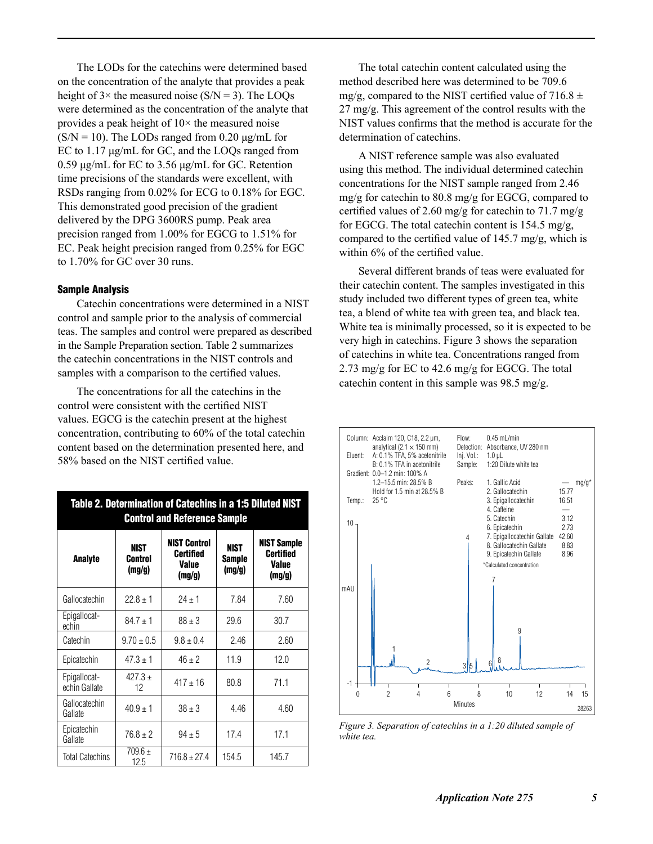The LODs for the catechins were determined based on the concentration of the analyte that provides a peak height of  $3 \times$  the measured noise (S/N = 3). The LOQs were determined as the concentration of the analyte that provides a peak height of  $10\times$  the measured noise  $(S/N = 10)$ . The LODs ranged from 0.20 μg/mL for EC to 1.17 μg/mL for GC, and the LOQs ranged from 0.59 μg/mL for EC to 3.56 μg/mL for GC. Retention time precisions of the standards were excellent, with RSDs ranging from 0.02% for ECG to 0.18% for EGC. This demonstrated good precision of the gradient delivered by the DPG 3600RS pump. Peak area precision ranged from 1.00% for EGCG to 1.51% for EC. Peak height precision ranged from 0.25% for EGC to 1.70% for GC over 30 runs.

#### Sample Analysis

Catechin concentrations were determined in a NIST control and sample prior to the analysis of commercial teas. The samples and control were prepared as described in the Sample Preparation section. Table 2 summarizes the catechin concentrations in the NIST controls and samples with a comparison to the certified values.

The concentrations for all the catechins in the control were consistent with the certified NIST values. EGCG is the catechin present at the highest concentration, contributing to 60% of the total catechin content based on the determination presented here, and 58% based on the NIST certified value.

| Table 2. Determination of Catechins in a 1:5 Diluted NIST<br><b>Control and Reference Sample</b> |                                  |                                                     |                                 |                                                           |  |  |
|--------------------------------------------------------------------------------------------------|----------------------------------|-----------------------------------------------------|---------------------------------|-----------------------------------------------------------|--|--|
| Analyte                                                                                          | <b>NIST</b><br>Control<br>(mg/g) | <b>NIST Control</b><br>Certified<br>Value<br>(mg/g) | <b>NIST</b><br>Sample<br>(mg/g) | <b>NIST Sample</b><br>Certified<br><b>Value</b><br>(mg/g) |  |  |
| Gallocatechin                                                                                    | $22.8 \pm 1$                     | $24 \pm 1$                                          | 7.84                            | 7.60                                                      |  |  |
| Epigallocat-<br>echin                                                                            | $84.7 \pm 1$                     | $88 \pm 3$                                          | 29.6                            | 30.7                                                      |  |  |
| Catechin                                                                                         | $9.70 \pm 0.5$                   | $9.8 \pm 0.4$                                       | 2.46                            | 2.60                                                      |  |  |
| Epicatechin                                                                                      | $47.3 \pm 1$                     | $46 \pm 2$                                          | 11.9                            | 12.0                                                      |  |  |
| Epigallocat-<br>echin Gallate                                                                    | $427.3 +$<br>12                  | $417 \pm 16$                                        | 80.8                            | 71.1                                                      |  |  |
| Gallocatechin<br>Gallate                                                                         | $40.9 \pm 1$                     | $38 \pm 3$                                          | 4.46                            | 4.60                                                      |  |  |
| Epicatechin<br>Gallate                                                                           | $76.8 \pm 2$                     | $94 \pm 5$                                          | 17.4                            | 17.1                                                      |  |  |
| <b>Total Catechins</b>                                                                           | $709.6 \pm$<br>12.5              | $716.8 \pm 27.4$                                    | 154.5                           | 145.7                                                     |  |  |

The total catechin content calculated using the method described here was determined to be 709.6 mg/g, compared to the NIST certified value of  $716.8 \pm$ 27 mg/g. This agreement of the control results with the NIST values confirms that the method is accurate for the determination of catechins.

A NIST reference sample was also evaluated using this method. The individual determined catechin concentrations for the NIST sample ranged from 2.46 mg/g for catechin to 80.8 mg/g for EGCG, compared to certified values of 2.60 mg/g for catechin to 71.7 mg/g for EGCG. The total catechin content is 154.5 mg/g, compared to the certified value of 145.7 mg/g, which is within 6% of the certified value.

Several different brands of teas were evaluated for their catechin content. The samples investigated in this study included two different types of green tea, white tea, a blend of white tea with green tea, and black tea. White tea is minimally processed, so it is expected to be very high in catechins. Figure 3 shows the separation of catechins in white tea. Concentrations ranged from 2.73 mg/g for EC to 42.6 mg/g for EGCG. The total catechin content in this sample was 98.5 mg/g.



*Figure 3. Separation of catechins in a 1:20 diluted sample of white tea.*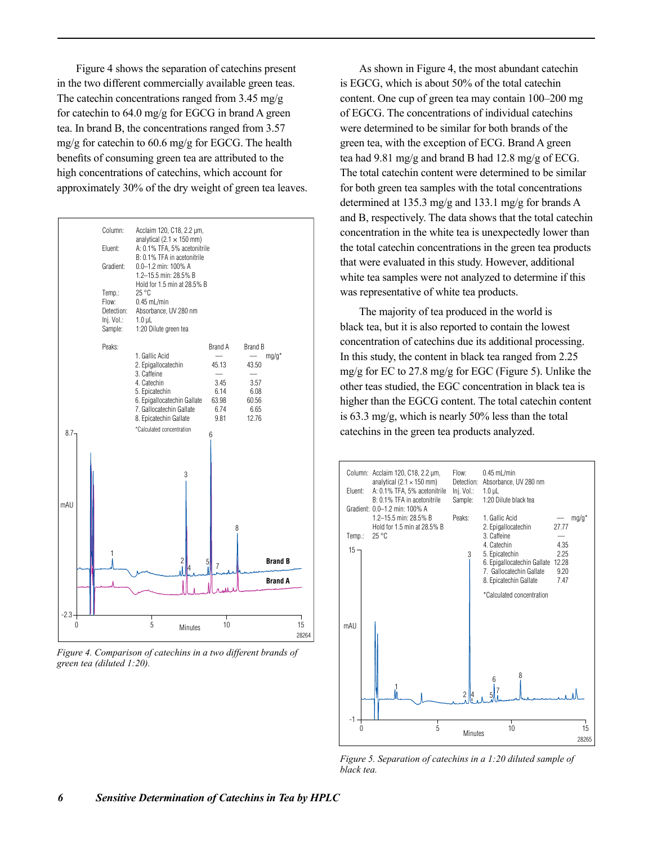Figure 4 shows the separation of catechins present in the two different commercially available green teas. The catechin concentrations ranged from 3.45 mg/g for catechin to 64.0 mg/g for EGCG in brand A green tea. In brand B, the concentrations ranged from 3.57 mg/g for catechin to 60.6 mg/g for EGCG. The health benefits of consuming green tea are attributed to the high concentrations of catechins, which account for approximately 30% of the dry weight of green tea leaves.



*Figure 4. Comparison of catechins in a two different brands of green tea (diluted 1:20).*

As shown in Figure 4, the most abundant catechin is EGCG, which is about 50% of the total catechin content. One cup of green tea may contain 100–200 mg of EGCG. The concentrations of individual catechins were determined to be similar for both brands of the green tea, with the exception of ECG. Brand A green tea had 9.81 mg/g and brand B had 12.8 mg/g of ECG. The total catechin content were determined to be similar for both green tea samples with the total concentrations determined at 135.3 mg/g and 133.1 mg/g for brands A and B, respectively. The data shows that the total catechin concentration in the white tea is unexpectedly lower than the total catechin concentrations in the green tea products that were evaluated in this study. However, additional white tea samples were not analyzed to determine if this was representative of white tea products.

The majority of tea produced in the world is black tea, but it is also reported to contain the lowest concentration of catechins due its additional processing. In this study, the content in black tea ranged from 2.25 mg/g for EC to 27.8 mg/g for EGC (Figure 5). Unlike the other teas studied, the EGC concentration in black tea is higher than the EGCG content. The total catechin content is 63.3 mg/g, which is nearly 50% less than the total catechins in the green tea products analyzed.



*Figure 5. Separation of catechins in a 1:20 diluted sample of black tea.*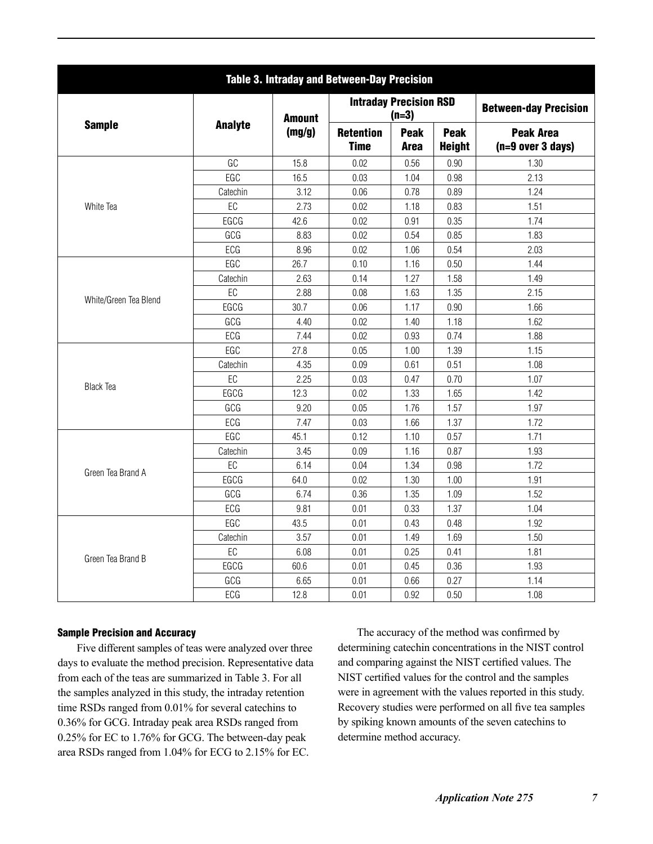| Table 3. Intraday and Between-Day Precision |                |                                                                              |                                          |                                                                                                                                                                                                                                                                                                                                                                                              |                              |                                         |  |
|---------------------------------------------|----------------|------------------------------------------------------------------------------|------------------------------------------|----------------------------------------------------------------------------------------------------------------------------------------------------------------------------------------------------------------------------------------------------------------------------------------------------------------------------------------------------------------------------------------------|------------------------------|-----------------------------------------|--|
|                                             | <b>Analyte</b> | <b>Amount</b>                                                                | <b>Intraday Precision RSD</b><br>$(n=3)$ |                                                                                                                                                                                                                                                                                                                                                                                              |                              | <b>Between-day Precision</b>            |  |
| <b>Sample</b>                               |                | (mg/g)                                                                       | <b>Retention</b><br><b>Time</b>          | <b>Peak</b><br><b>Area</b>                                                                                                                                                                                                                                                                                                                                                                   | <b>Peak</b><br><b>Height</b> | <b>Peak Area</b><br>$(n=9 over 3 days)$ |  |
|                                             | GC             | 15.8                                                                         | 0.02                                     | 0.56                                                                                                                                                                                                                                                                                                                                                                                         | 0.90                         | 1.30                                    |  |
|                                             | EGC            | 16.5                                                                         | 0.03                                     | 1.04                                                                                                                                                                                                                                                                                                                                                                                         | 0.98                         | 2.13                                    |  |
|                                             | Catechin       | 3.12                                                                         | 0.06                                     | 0.78                                                                                                                                                                                                                                                                                                                                                                                         | 0.89                         | 1.24                                    |  |
| White Tea                                   | EC             | 2.73                                                                         | 0.02                                     | 1.18                                                                                                                                                                                                                                                                                                                                                                                         | 0.83                         | 1.51                                    |  |
|                                             | EGCG           | 42.6                                                                         | 0.02                                     | 0.91                                                                                                                                                                                                                                                                                                                                                                                         | 0.35                         | 1.74                                    |  |
|                                             | GCG            | 8.83                                                                         | 0.02                                     | 0.54                                                                                                                                                                                                                                                                                                                                                                                         | 0.85                         | 1.83                                    |  |
|                                             | ECG            | 8.96                                                                         | 0.02                                     | 1.06<br>0.54<br>1.16<br>0.50<br>1.27<br>1.58<br>1.63<br>1.35<br>1.17<br>0.90<br>1.40<br>1.18<br>0.74<br>0.93<br>1.00<br>1.39<br>0.51<br>0.61<br>0.47<br>0.70<br>1.65<br>1.33<br>1.76<br>1.57<br>1.66<br>1.37<br>0.57<br>1.10<br>0.87<br>1.16<br>1.34<br>0.98<br>1.30<br>1.00<br>1.35<br>1.09<br>0.33<br>1.37<br>0.43<br>0.48<br>1.49<br>1.69<br>0.25<br>0.41<br>0.45<br>0.36<br>0.27<br>0.66 | 2.03                         |                                         |  |
|                                             | EGC            | 26.7                                                                         | 0.10                                     |                                                                                                                                                                                                                                                                                                                                                                                              |                              | 1.44                                    |  |
|                                             | Catechin       | 2.63                                                                         | 0.14                                     |                                                                                                                                                                                                                                                                                                                                                                                              |                              | 1.49                                    |  |
|                                             | EC             | 2.88                                                                         | 0.08                                     |                                                                                                                                                                                                                                                                                                                                                                                              |                              | 2.15                                    |  |
| White/Green Tea Blend                       | EGCG           | 30.7                                                                         | 0.06                                     |                                                                                                                                                                                                                                                                                                                                                                                              |                              | 1.66                                    |  |
|                                             | GCG            | 4.40                                                                         | 0.02                                     |                                                                                                                                                                                                                                                                                                                                                                                              |                              | 1.62                                    |  |
|                                             | ECG            | 7.44<br>0.02<br>0.05<br>27.8<br>4.35<br>0.09<br>2.25<br>0.03<br>12.3<br>0.02 |                                          | 1.88                                                                                                                                                                                                                                                                                                                                                                                         |                              |                                         |  |
|                                             | EGC            |                                                                              |                                          |                                                                                                                                                                                                                                                                                                                                                                                              |                              | 1.15                                    |  |
|                                             | Catechin       |                                                                              |                                          |                                                                                                                                                                                                                                                                                                                                                                                              |                              | 1.08                                    |  |
|                                             | EC             |                                                                              |                                          |                                                                                                                                                                                                                                                                                                                                                                                              |                              | 1.07                                    |  |
| <b>Black Tea</b>                            | EGCG           |                                                                              |                                          |                                                                                                                                                                                                                                                                                                                                                                                              |                              | 1.42                                    |  |
|                                             | GCG            | 9.20                                                                         | 0.05                                     |                                                                                                                                                                                                                                                                                                                                                                                              |                              | 1.97                                    |  |
|                                             | ECG            | 7.47                                                                         | 0.03                                     |                                                                                                                                                                                                                                                                                                                                                                                              |                              | 1.72                                    |  |
|                                             | EGC            | 45.1                                                                         | 0.12                                     |                                                                                                                                                                                                                                                                                                                                                                                              |                              | 1.71                                    |  |
|                                             | Catechin       | 3.45                                                                         | 0.09                                     |                                                                                                                                                                                                                                                                                                                                                                                              |                              | 1.93                                    |  |
|                                             | $\mathsf{EC}$  | 6.14                                                                         | 0.04                                     |                                                                                                                                                                                                                                                                                                                                                                                              |                              | 1.72                                    |  |
| Green Tea Brand A                           | EGCG           | 64.0                                                                         | 0.02                                     |                                                                                                                                                                                                                                                                                                                                                                                              |                              | 1.91                                    |  |
|                                             | GCG            | 6.74                                                                         | 0.36                                     |                                                                                                                                                                                                                                                                                                                                                                                              |                              | 1.52                                    |  |
|                                             | ECG            | 9.81                                                                         | 0.01                                     |                                                                                                                                                                                                                                                                                                                                                                                              |                              | 1.04                                    |  |
|                                             | EGC            | 43.5                                                                         | 0.01                                     |                                                                                                                                                                                                                                                                                                                                                                                              |                              | 1.92                                    |  |
|                                             | Catechin       | 3.57                                                                         | 0.01                                     | 0.50<br>0.92                                                                                                                                                                                                                                                                                                                                                                                 | 1.50                         |                                         |  |
|                                             | $\mathsf{EC}$  | 6.08                                                                         | 0.01                                     |                                                                                                                                                                                                                                                                                                                                                                                              |                              | 1.81                                    |  |
| Green Tea Brand B                           | EGCG           | 60.6                                                                         | 0.01                                     |                                                                                                                                                                                                                                                                                                                                                                                              |                              | 1.93                                    |  |
|                                             | GCG            | 6.65                                                                         | 0.01                                     |                                                                                                                                                                                                                                                                                                                                                                                              |                              | 1.14                                    |  |
|                                             | ECG            | 12.8                                                                         | 0.01                                     |                                                                                                                                                                                                                                                                                                                                                                                              | 1.08                         |                                         |  |

#### Sample Precision and Accuracy

Five different samples of teas were analyzed over three days to evaluate the method precision. Representative data from each of the teas are summarized in Table 3. For all the samples analyzed in this study, the intraday retention time RSDs ranged from 0.01% for several catechins to 0.36% for GCG. Intraday peak area RSDs ranged from 0.25% for EC to 1.76% for GCG. The between-day peak area RSDs ranged from 1.04% for ECG to 2.15% for EC.

The accuracy of the method was confirmed by determining catechin concentrations in the NIST control and comparing against the NIST certified values. The NIST certified values for the control and the samples were in agreement with the values reported in this study. Recovery studies were performed on all five tea samples by spiking known amounts of the seven catechins to determine method accuracy.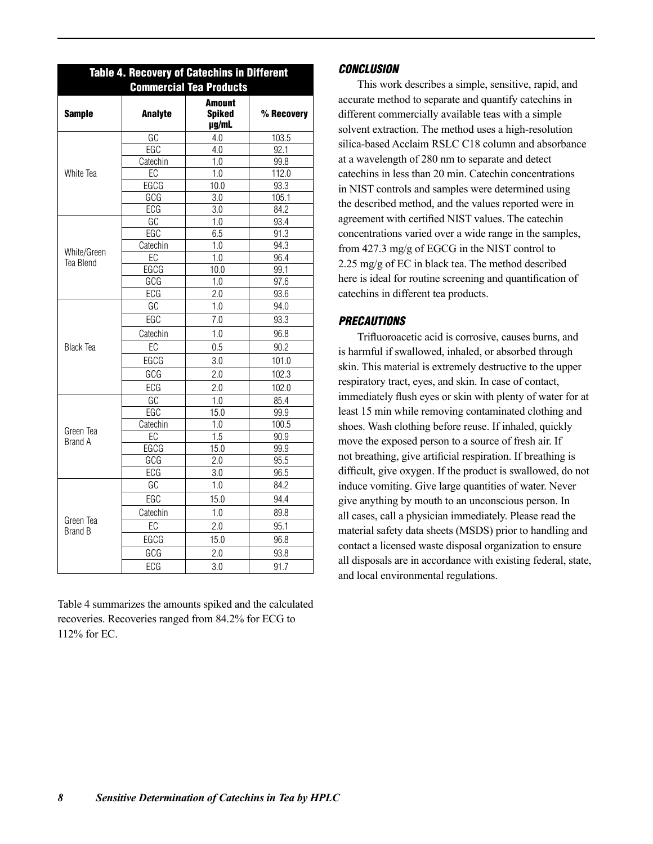| Table 4. Recovery of Catechins in Different<br><b>Commercial Tea Products</b>                 |                                                                                                                                                                                                                                                                                                                  |                                                                                                                                                                                                                                                  |            |  |
|-----------------------------------------------------------------------------------------------|------------------------------------------------------------------------------------------------------------------------------------------------------------------------------------------------------------------------------------------------------------------------------------------------------------------|--------------------------------------------------------------------------------------------------------------------------------------------------------------------------------------------------------------------------------------------------|------------|--|
| <b>Sample</b>                                                                                 | <b>Analyte</b>                                                                                                                                                                                                                                                                                                   | <b>Amount</b><br><b>Spiked</b><br>µg/mL                                                                                                                                                                                                          | % Recovery |  |
|                                                                                               |                                                                                                                                                                                                                                                                                                                  | 4.0                                                                                                                                                                                                                                              | 103.5      |  |
|                                                                                               |                                                                                                                                                                                                                                                                                                                  | 4.0<br>1.0<br>1.0<br>10.0<br>3.0<br>3.0<br>1.0<br>6.5<br>1.0<br>1.0<br>10.0<br>1.0<br>2.0<br>1.0<br>7.0<br>1.0<br>0.5<br>3.0<br>2.0<br>2.0<br>1.0<br>15.0<br>1.0<br>1.5<br>15.0<br>2.0<br>3.0<br>1.0<br>15.0<br>1.0<br>2.0<br>15.0<br>2.0<br>3.0 | 92.1       |  |
|                                                                                               |                                                                                                                                                                                                                                                                                                                  |                                                                                                                                                                                                                                                  | 99.8       |  |
| White Tea                                                                                     |                                                                                                                                                                                                                                                                                                                  |                                                                                                                                                                                                                                                  | 112.0      |  |
|                                                                                               |                                                                                                                                                                                                                                                                                                                  |                                                                                                                                                                                                                                                  | 93.3       |  |
|                                                                                               |                                                                                                                                                                                                                                                                                                                  |                                                                                                                                                                                                                                                  | 105.1      |  |
|                                                                                               |                                                                                                                                                                                                                                                                                                                  |                                                                                                                                                                                                                                                  | 84.2       |  |
|                                                                                               |                                                                                                                                                                                                                                                                                                                  |                                                                                                                                                                                                                                                  | 93.4       |  |
|                                                                                               |                                                                                                                                                                                                                                                                                                                  |                                                                                                                                                                                                                                                  | 91.3       |  |
|                                                                                               |                                                                                                                                                                                                                                                                                                                  |                                                                                                                                                                                                                                                  | 94.3       |  |
|                                                                                               |                                                                                                                                                                                                                                                                                                                  |                                                                                                                                                                                                                                                  | 96.4       |  |
| Tea Blend                                                                                     |                                                                                                                                                                                                                                                                                                                  |                                                                                                                                                                                                                                                  | 99.1       |  |
|                                                                                               |                                                                                                                                                                                                                                                                                                                  |                                                                                                                                                                                                                                                  | 97.6       |  |
|                                                                                               |                                                                                                                                                                                                                                                                                                                  |                                                                                                                                                                                                                                                  | 93.6       |  |
|                                                                                               |                                                                                                                                                                                                                                                                                                                  |                                                                                                                                                                                                                                                  | 94.0       |  |
| White/Green<br><b>Black Tea</b><br>Green Tea<br><b>Brand A</b><br>Green Tea<br><b>Brand B</b> |                                                                                                                                                                                                                                                                                                                  |                                                                                                                                                                                                                                                  | 93.3       |  |
|                                                                                               | $\overline{{\mathsf{GC}}}$<br><b>EGC</b><br>Catechin<br>EC<br>EGCG<br>GCG<br>ECG<br>GC<br>EGC<br>Catechin<br>$E$ C<br>EGCG<br>GCG<br>ECG<br>GC<br>EGC<br>Catechin<br>EC<br>EGCG<br>GCG<br>ECG<br>$\overline{GC}$<br>EGC<br>Catechin<br>$E$ C<br>EGCG<br>GCG<br>ECG<br>GC<br>EGC<br>Catechin<br>EC<br>EGCG<br>GCG |                                                                                                                                                                                                                                                  | 96.8       |  |
|                                                                                               |                                                                                                                                                                                                                                                                                                                  |                                                                                                                                                                                                                                                  | 90.2       |  |
|                                                                                               |                                                                                                                                                                                                                                                                                                                  |                                                                                                                                                                                                                                                  | 101.0      |  |
|                                                                                               |                                                                                                                                                                                                                                                                                                                  |                                                                                                                                                                                                                                                  | 102.3      |  |
|                                                                                               |                                                                                                                                                                                                                                                                                                                  |                                                                                                                                                                                                                                                  | 102.0      |  |
|                                                                                               |                                                                                                                                                                                                                                                                                                                  |                                                                                                                                                                                                                                                  | 85.4       |  |
|                                                                                               |                                                                                                                                                                                                                                                                                                                  |                                                                                                                                                                                                                                                  | 99.9       |  |
|                                                                                               |                                                                                                                                                                                                                                                                                                                  |                                                                                                                                                                                                                                                  | 100.5      |  |
|                                                                                               |                                                                                                                                                                                                                                                                                                                  |                                                                                                                                                                                                                                                  | 90.9       |  |
|                                                                                               |                                                                                                                                                                                                                                                                                                                  |                                                                                                                                                                                                                                                  | 99.9       |  |
|                                                                                               |                                                                                                                                                                                                                                                                                                                  |                                                                                                                                                                                                                                                  | 95.5       |  |
|                                                                                               |                                                                                                                                                                                                                                                                                                                  |                                                                                                                                                                                                                                                  | 96.5       |  |
|                                                                                               |                                                                                                                                                                                                                                                                                                                  |                                                                                                                                                                                                                                                  | 84.2       |  |
|                                                                                               |                                                                                                                                                                                                                                                                                                                  |                                                                                                                                                                                                                                                  | 94.4       |  |
|                                                                                               |                                                                                                                                                                                                                                                                                                                  |                                                                                                                                                                                                                                                  | 89.8       |  |
|                                                                                               |                                                                                                                                                                                                                                                                                                                  | ECG                                                                                                                                                                                                                                              | 95.1       |  |
|                                                                                               |                                                                                                                                                                                                                                                                                                                  | 96.8                                                                                                                                                                                                                                             |            |  |
|                                                                                               |                                                                                                                                                                                                                                                                                                                  |                                                                                                                                                                                                                                                  | 93.8       |  |
|                                                                                               |                                                                                                                                                                                                                                                                                                                  |                                                                                                                                                                                                                                                  | 91.7       |  |

Table 4 summarizes the amounts spiked and the calculated recoveries. Recoveries ranged from 84.2% for ECG to 112% for EC.

#### *CONCLUSION*

This work describes a simple, sensitive, rapid, and accurate method to separate and quantify catechins in different commercially available teas with a simple solvent extraction. The method uses a high-resolution silica-based Acclaim RSLC C18 column and absorbance at a wavelength of 280 nm to separate and detect catechins in less than 20 min. Catechin concentrations in NIST controls and samples were determined using the described method, and the values reported were in agreement with certified NIST values. The catechin concentrations varied over a wide range in the samples, from 427.3 mg/g of EGCG in the NIST control to 2.25 mg/g of EC in black tea. The method described here is ideal for routine screening and quantification of catechins in different tea products.

### *PRECAUTIONS*

Trifluoroacetic acid is corrosive, causes burns, and is harmful if swallowed, inhaled, or absorbed through skin. This material is extremely destructive to the upper respiratory tract, eyes, and skin. In case of contact, immediately flush eyes or skin with plenty of water for at least 15 min while removing contaminated clothing and shoes. Wash clothing before reuse. If inhaled, quickly move the exposed person to a source of fresh air. If not breathing, give artificial respiration. If breathing is difficult, give oxygen. If the product is swallowed, do not induce vomiting. Give large quantities of water. Never give anything by mouth to an unconscious person. In all cases, call a physician immediately. Please read the material safety data sheets (MSDS) prior to handling and contact a licensed waste disposal organization to ensure all disposals are in accordance with existing federal, state, and local environmental regulations.